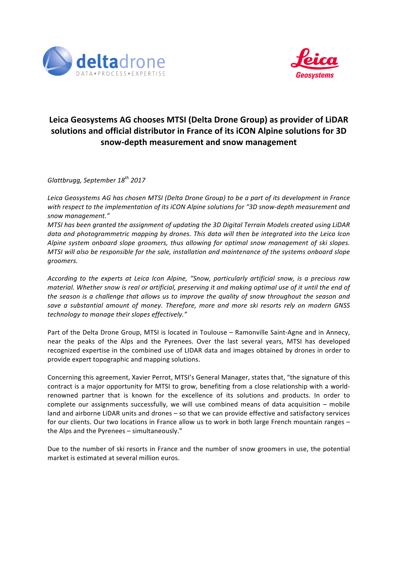



## Leica Geosystems AG chooses MTSI (Delta Drone Group) as provider of LiDAR solutions and official distributor in France of its iCON Alpine solutions for 3D **snow-depth measurement and snow management**

*Glattbrugg, September 18th 2017*

Leica Geosystems AG has chosen MTSI (Delta Drone Group) to be a part of its development in France with respect to the implementation of its iCON Alpine solutions for "3D snow-depth measurement and *snow management."*

*MTSI* has been granted the assignment of updating the 3D Digital Terrain Models created using LiDAR data and photogrammetric mapping by drones. This data will then be integrated into the Leica Icon *Alpine system onboard slope groomers, thus allowing for optimal snow management of ski slopes. MTSI* will also be responsible for the sale, installation and maintenance of the systems onboard slope *groomers.*

*According to the experts at Leica Icon Alpine, "Snow, particularly artificial snow, is a precious raw material.* Whether snow is real or artificial, preserving it and making optimal use of it until the end of the season is a challenge that allows us to improve the quality of snow throughout the season and save a substantial amount of money. Therefore, more and more ski resorts rely on modern GNSS *technology to manage their slopes effectively."*

Part of the Delta Drone Group, MTSI is located in Toulouse – Ramonville Saint-Agne and in Annecy, near the peaks of the Alps and the Pyrenees. Over the last several years, MTSI has developed recognized expertise in the combined use of LIDAR data and images obtained by drones in order to provide expert topographic and mapping solutions.

Concerning this agreement, Xavier Perrot, MTSI's General Manager, states that, "the signature of this contract is a major opportunity for MTSI to grow, benefiting from a close relationship with a worldrenowned partner that is known for the excellence of its solutions and products. In order to complete our assignments successfully, we will use combined means of data acquisition  $-$  mobile land and airborne LiDAR units and drones – so that we can provide effective and satisfactory services for our clients. Our two locations in France allow us to work in both large French mountain ranges the Alps and the Pyrenees – simultaneously."

Due to the number of ski resorts in France and the number of snow groomers in use, the potential market is estimated at several million euros.